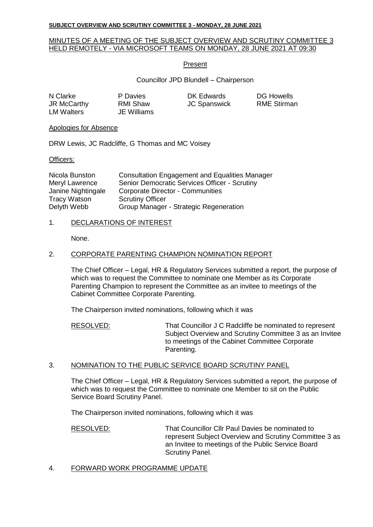#### **SUBJECT OVERVIEW AND SCRUTINY COMMITTEE 3 - MONDAY, 28 JUNE 2021**

## MINUTES OF A MEETING OF THE SUBJECT OVERVIEW AND SCRUTINY COMMITTEE 3 HELD REMOTELY - VIA MICROSOFT TEAMS ON MONDAY, 28 JUNE 2021 AT 09:30

### Present

Councillor JPD Blundell – Chairperson

| N Clarke           |  |
|--------------------|--|
| <b>JR McCarthy</b> |  |
| <b>LM Walters</b>  |  |

**JE Williams** 

P Davies **DK Edwards** DG Howells RMI Shaw JC Spanswick RME Stirman

### Apologies for Absence

DRW Lewis, JC Radcliffe, G Thomas and MC Voisey

### Officers:

| Nicola Bunston      | <b>Consultation Engagement and Equalities Manager</b> |
|---------------------|-------------------------------------------------------|
| Meryl Lawrence      | Senior Democratic Services Officer - Scrutiny         |
| Janine Nightingale  | <b>Corporate Director - Communities</b>               |
| <b>Tracy Watson</b> | <b>Scrutiny Officer</b>                               |
| Delyth Webb         | Group Manager - Strategic Regeneration                |

## 1. DECLARATIONS OF INTEREST

None.

### 2. CORPORATE PARENTING CHAMPION NOMINATION REPORT

The Chief Officer – Legal, HR & Regulatory Services submitted a report, the purpose of which was to request the Committee to nominate one Member as its Corporate Parenting Champion to represent the Committee as an invitee to meetings of the Cabinet Committee Corporate Parenting.

The Chairperson invited nominations, following which it was

RESOLVED: That Councillor J C Radcliffe be nominated to represent Subject Overview and Scrutiny Committee 3 as an Invitee to meetings of the Cabinet Committee Corporate Parenting.

# 3. NOMINATION TO THE PUBLIC SERVICE BOARD SCRUTINY PANEL

The Chief Officer – Legal, HR & Regulatory Services submitted a report, the purpose of which was to request the Committee to nominate one Member to sit on the Public Service Board Scrutiny Panel.

The Chairperson invited nominations, following which it was

RESOLVED: That Councillor Cllr Paul Davies be nominated to represent Subject Overview and Scrutiny Committee 3 as an Invitee to meetings of the Public Service Board Scrutiny Panel.

## 4. FORWARD WORK PROGRAMME UPDATE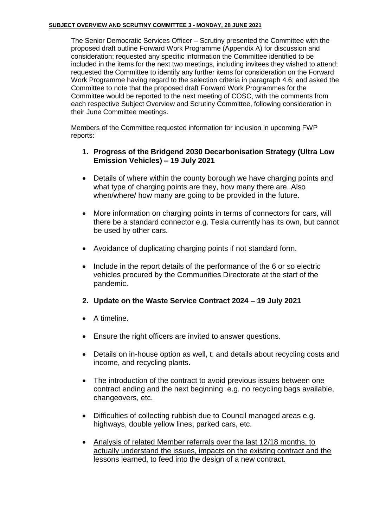## **SUBJECT OVERVIEW AND SCRUTINY COMMITTEE 3 - MONDAY, 28 JUNE 2021**

The Senior Democratic Services Officer – Scrutiny presented the Committee with the proposed draft outline Forward Work Programme (Appendix A) for discussion and consideration; requested any specific information the Committee identified to be included in the items for the next two meetings, including invitees they wished to attend; requested the Committee to identify any further items for consideration on the Forward Work Programme having regard to the selection criteria in paragraph 4.6; and asked the Committee to note that the proposed draft Forward Work Programmes for the Committee would be reported to the next meeting of COSC, with the comments from each respective Subject Overview and Scrutiny Committee, following consideration in their June Committee meetings.

Members of the Committee requested information for inclusion in upcoming FWP reports:

# **1. Progress of the Bridgend 2030 Decarbonisation Strategy (Ultra Low Emission Vehicles) – 19 July 2021**

- Details of where within the county borough we have charging points and what type of charging points are they, how many there are. Also when/where/ how many are going to be provided in the future.
- More information on charging points in terms of connectors for cars, will there be a standard connector e.g. Tesla currently has its own, but cannot be used by other cars.
- Avoidance of duplicating charging points if not standard form.
- Include in the report details of the performance of the 6 or so electric vehicles procured by the Communities Directorate at the start of the pandemic.
- **2. Update on the Waste Service Contract 2024 – 19 July 2021**
- A timeline.
- Ensure the right officers are invited to answer questions.
- Details on in-house option as well, t, and details about recycling costs and income, and recycling plants.
- The introduction of the contract to avoid previous issues between one contract ending and the next beginning e.g. no recycling bags available, changeovers, etc.
- Difficulties of collecting rubbish due to Council managed areas e.g. highways, double yellow lines, parked cars, etc.
- Analysis of related Member referrals over the last 12/18 months, to actually understand the issues, impacts on the existing contract and the lessons learned, to feed into the design of a new contract.